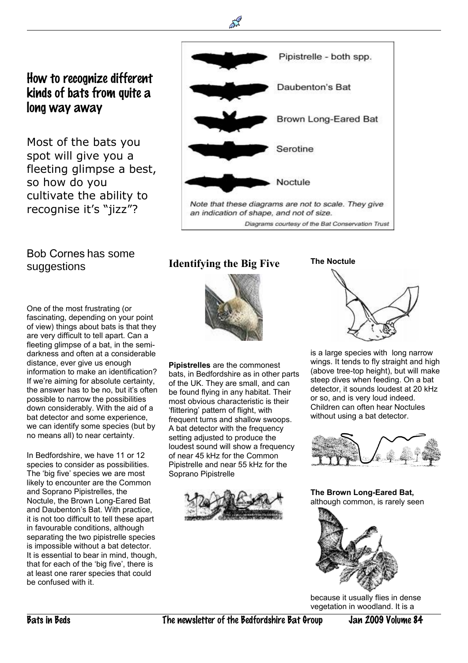## How to recognize different kinds of bats from quite a long way away

Most of the bats you spot will give you a fleeting glimpse a best, so how do you cultivate the ability to recognise it's "jizz"?

### Bob Cornes has some suggestions

One of the most frustrating (or fascinating, depending on your point of view) things about bats is that they are very difficult to tell apart. Can a fleeting glimpse of a bat, in the semidarkness and often at a considerable distance, ever give us enough information to make an identification? If we're aiming for absolute certainty, the answer has to be no, but it's often possible to narrow the possibilities down considerably. With the aid of a bat detector and some experience, we can identify some species (but by no means all) to near certainty.

In Bedfordshire, we have 11 or 12 species to consider as possibilities. The 'big five' species we are most likely to encounter are the Common and Soprano Pipistrelles, the Noctule, the Brown Long-Eared Bat and Daubenton's Bat. With practice, it is not too difficult to tell these apart in favourable conditions, although separating the two pipistrelle species is impossible without a bat detector. It is essential to bear in mind, though, that for each of the 'big five', there is at least one rarer species that could be confused with it.

# Pipistrelle - both spp. Daubenton's Bat Brown Long-Eared Bat Serotine Noctule Note that these diagrams are not to scale. They give an indication of shape, and not of size. Diagrams courtesy of the Bat Conservation Trust

**Identifying the Big Five**



**Pipistrelles** are the commonest bats, in Bedfordshire as in other parts of the UK. They are small, and can be found flying in any habitat. Their most obvious characteristic is their 'flittering' pattern of flight, with frequent turns and shallow swoops. A bat detector with the frequency setting adjusted to produce the loudest sound will show a frequency of near 45 kHz for the Common Pipistrelle and near 55 kHz for the Soprano Pipistrelle







is a large species with long narrow wings. It tends to fly straight and high (above tree-top height), but will make steep dives when feeding. On a bat detector, it sounds loudest at 20 kHz or so, and is very loud indeed. Children can often hear Noctules without using a bat detector.



**The Brown Long-Eared Bat,** although common, is rarely seen



because it usually flies in dense vegetation in woodland. It is a

Bats in Beds The newsletter of the Bedfordshire Bat Group Jan 2009 Volume 84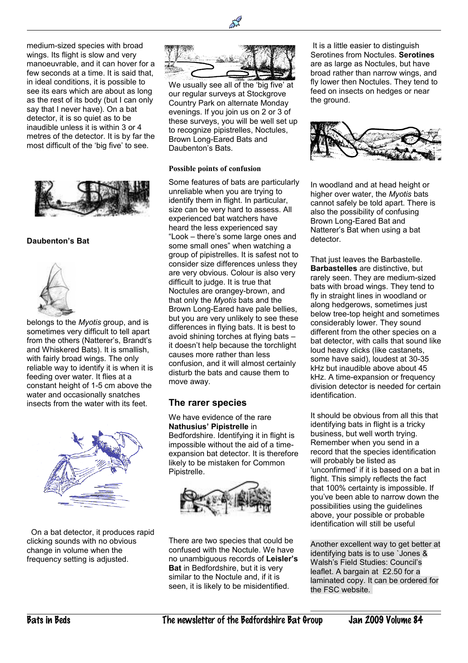medium-sized species with broad wings. Its flight is slow and very manoeuvrable, and it can hover for a few seconds at a time. It is said that, in ideal conditions, it is possible to see its ears which are about as long as the rest of its body (but I can only say that I never have). On a bat detector, it is so quiet as to be inaudible unless it is within 3 or 4 metres of the detector. It is by far the most difficult of the 'big five' to see.



#### **Daubenton's Bat**



belongs to the *Myotis* group, and is sometimes very difficult to tell apart from the others (Natterer's, Brandt's and Whiskered Bats). It is smallish, with fairly broad wings. The only reliable way to identify it is when it is feeding over water. It flies at a constant height of 1-5 cm above the water and occasionally snatches insects from the water with its feet.



On a bat detector, it produces rapid clicking sounds with no obvious change in volume when the frequency setting is adjusted.



We usually see all of the 'big five' at our regular surveys at Stockgrove Country Park on alternate Monday evenings. If you join us on 2 or 3 of these surveys, you will be well set up to recognize pipistrelles, Noctules, Brown Long-Eared Bats and Daubenton's Bats.

#### **Possible points of confusion**

Some features of bats are particularly unreliable when you are trying to identify them in flight. In particular, size can be very hard to assess. All experienced bat watchers have heard the less experienced say "Look – there's some large ones and some small ones" when watching a group of pipistrelles. It is safest not to consider size differences unless they are very obvious. Colour is also very difficult to judge. It is true that Noctules are orangey-brown, and that only the *Myotis* bats and the Brown Long-Eared have pale bellies, but you are very unlikely to see these differences in flying bats. It is best to avoid shining torches at flying bats – it doesn't help because the torchlight causes more rather than less confusion, and it will almost certainly disturb the bats and cause them to move away.

#### **The rarer species**

We have evidence of the rare **Nathusius' Pipistrelle** in Bedfordshire. Identifying it in flight is impossible without the aid of a timeexpansion bat detector. It is therefore likely to be mistaken for Common Pipistrelle.



There are two species that could be confused with the Noctule. We have no unambiguous records of **Leisler's Bat** in Bedfordshire, but it is very similar to the Noctule and, if it is seen, it is likely to be misidentified.

 It is a little easier to distinguish Serotines from Noctules. **Serotines** are as large as Noctules, but have broad rather than narrow wings, and fly lower then Noctules. They tend to feed on insects on hedges or near the ground.



In woodland and at head height or higher over water, the *Myotis* bats cannot safely be told apart. There is also the possibility of confusing Brown Long-Eared Bat and Natterer's Bat when using a bat detector.

That just leaves the Barbastelle. **Barbastelles** are distinctive, but rarely seen. They are medium-sized bats with broad wings. They tend to fly in straight lines in woodland or along hedgerows, sometimes just below tree-top height and sometimes considerably lower. They sound different from the other species on a bat detector, with calls that sound like loud heavy clicks (like castanets, some have said), loudest at 30-35 kHz but inaudible above about 45 kHz. A time-expansion or frequency division detector is needed for certain identification.

It should be obvious from all this that identifying bats in flight is a tricky business, but well worth trying. Remember when you send in a record that the species identification will probably be listed as 'unconfirmed' if it is based on a bat in flight. This simply reflects the fact that 100% certainty is impossible. If you've been able to narrow down the possibilities using the guidelines above, your possible or probable identification will still be useful

Another excellent way to get better at identifying bats is to use `Jones & Walsh's Field Studies: Council's leaflet. A bargain at £2.50 for a laminated copy. It can be ordered for the FSC website.